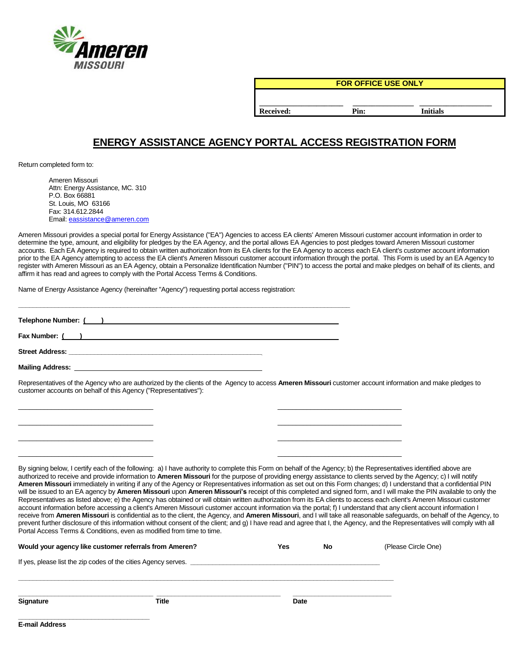

**FOR OFFICE USE ONLY**

**\_\_\_\_\_\_\_\_\_\_\_\_\_\_\_\_\_\_\_\_\_\_ \_\_\_\_\_\_\_\_\_\_\_\_\_\_\_\_ \_\_\_\_\_\_\_\_\_\_\_\_\_\_\_\_\_\_\_ Received: Pin: Initials**

# **ENERGY ASSISTANCE AGENCY PORTAL ACCESS REGISTRATION FORM**

Return completed form to:

Ameren Missouri Attn: Energy Assistance, MC. 310 P.O. Box 66881 St. Louis, MO 63166 Fax: 314.612.2844 Email: [eassistance@ameren.com](mailto:eassistance@ameren.com)

Ameren Missouri provides a special portal for Energy Assistance ("EA") Agencies to access EA clients' Ameren Missouri customer account information in order to determine the type, amount, and eligibility for pledges by the EA Agency, and the portal allows EA Agencies to post pledges toward Ameren Missouri customer accounts. Each EA Agency is required to obtain written authorization from its EA clients for the EA Agency to access each EA client's customer account information prior to the EA Agency attempting to access the EA client's Ameren Missouri customer account information through the portal. This Form is used by an EA Agency to register with Ameren Missouri as an EA Agency, obtain a Personalize Identification Number ("PIN") to access the portal and make pledges on behalf of its clients, and affirm it has read and agrees to comply with the Portal Access Terms & Conditions.

Name of Energy Assistance Agency (hereinafter "Agency") requesting portal access registration:

| Telephone Number: ( ) and the contract of the contract of the contract of the contract of the contract of the contract of the contract of the contract of the contract of the contract of the contract of the contract of the  |  |
|--------------------------------------------------------------------------------------------------------------------------------------------------------------------------------------------------------------------------------|--|
| Fax Number: ( )                                                                                                                                                                                                                |  |
|                                                                                                                                                                                                                                |  |
| Mailing Address: the control of the control of the control of the control of the control of the control of the control of the control of the control of the control of the control of the control of the control of the contro |  |

 $\Box$ \_\_\_\_\_\_\_\_\_\_\_\_\_\_\_\_\_\_\_\_\_\_\_\_\_\_\_\_\_\_\_\_\_\_\_\_\_ \_\_\_\_\_\_\_\_\_\_\_\_\_\_\_\_\_\_\_\_\_\_\_\_\_\_\_\_\_\_\_\_\_\_  $\overline{\phantom{a}}$  , and the contribution of the contribution of the contribution of the contribution of the contribution of the contribution of the contribution of the contribution of the contribution of the contribution of the  $\Box$ 

Representatives of the Agency who are authorized by the clients of the Agency to access **Ameren Missouri** customer account information and make pledges to customer accounts on behalf of this Agency ("Representatives"):

By signing below, I certify each of the following: a) I have authority to complete this Form on behalf of the Agency; b) the Representatives identified above are authorized to receive and provide information to **Ameren Missouri** for the purpose of providing energy assistance to clients served by the Agency; c) I will notify **Ameren Missouri** immediately in writing if any of the Agency or Representatives information as set out on this Form changes; d) I understand that a confidential PIN will be issued to an EA agency by **Ameren Missouri** upon **Ameren Missouri's** receipt of this completed and signed form, and I will make the PIN available to only the Representatives as listed above; e) the Agency has obtained or will obtain written authorization from its EA clients to access each client's Ameren Missouri customer account information before accessing a client's Ameren Missouri customer account information via the portal; f) I understand that any client account information I receive from **Ameren Missouri** is confidential as to the client, the Agency, and **Ameren Missouri**, and I will take all reasonable safeguards, on behalf of the Agency, to prevent further disclosure of this information without consent of the client; and g) I have read and agree that I, the Agency, and the Representatives will comply with all Portal Access Terms & Conditions, even as modified from time to time.

| Would your agency like customer referrals from Ameren?         |       | Yes  | No | (Please Circle One) |  |
|----------------------------------------------------------------|-------|------|----|---------------------|--|
| If yes, please list the zip codes of the cities Agency serves. |       |      |    |                     |  |
| <b>Signature</b>                                               | Title | Date |    |                     |  |
| <b>E-mail Address</b>                                          |       |      |    |                     |  |